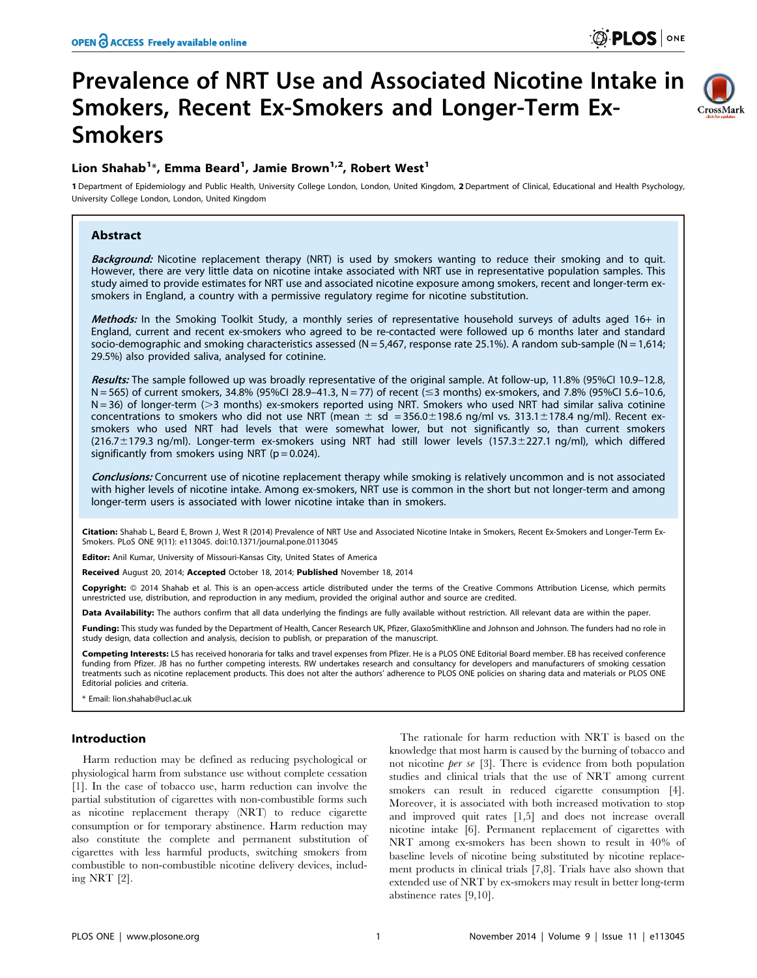CrossMark

# Prevalence of NRT Use and Associated Nicotine Intake in Smokers, Recent Ex-Smokers and Longer-Term Ex-Smokers

## Lion Shahab $^{1\ast}$ , Emma Beard $^{1}$ , Jamie Brown $^{1,2}$ , Robert West $^{1}$

1 Department of Epidemiology and Public Health, University College London, London, United Kingdom, 2 Department of Clinical, Educational and Health Psychology, University College London, London, United Kingdom

## Abstract

Background: Nicotine replacement therapy (NRT) is used by smokers wanting to reduce their smoking and to quit. However, there are very little data on nicotine intake associated with NRT use in representative population samples. This study aimed to provide estimates for NRT use and associated nicotine exposure among smokers, recent and longer-term exsmokers in England, a country with a permissive regulatory regime for nicotine substitution.

Methods: In the Smoking Toolkit Study, a monthly series of representative household surveys of adults aged 16+ in England, current and recent ex-smokers who agreed to be re-contacted were followed up 6 months later and standard socio-demographic and smoking characteristics assessed (N = 5,467, response rate 25.1%). A random sub-sample (N = 1,614; 29.5%) also provided saliva, analysed for cotinine.

Results: The sample followed up was broadly representative of the original sample. At follow-up, 11.8% (95%CI 10.9–12.8,  $N = 565$ ) of current smokers, 34.8% (95%CI 28.9-41.3,  $N = 77$ ) of recent ( $\leq$ 3 months) ex-smokers, and 7.8% (95%CI 5.6-10.6,  $N = 36$ ) of longer-term ( $> 3$  months) ex-smokers reported using NRT. Smokers who used NRT had similar saliva cotinine concentrations to smokers who did not use NRT (mean  $\pm$  sd = 356.0 $\pm$ 198.6 ng/ml vs. 313.1 $\pm$ 178.4 ng/ml). Recent exsmokers who used NRT had levels that were somewhat lower, but not significantly so, than current smokers (216.7±179.3 ng/ml). Longer-term ex-smokers using NRT had still lower levels (157.3±227.1 ng/ml), which differed significantly from smokers using NRT ( $p = 0.024$ ).

Conclusions: Concurrent use of nicotine replacement therapy while smoking is relatively uncommon and is not associated with higher levels of nicotine intake. Among ex-smokers, NRT use is common in the short but not longer-term and among longer-term users is associated with lower nicotine intake than in smokers.

Citation: Shahab L, Beard E, Brown J, West R (2014) Prevalence of NRT Use and Associated Nicotine Intake in Smokers, Recent Ex-Smokers and Longer-Term Ex-Smokers. PLoS ONE 9(11): e113045. doi:10.1371/journal.pone.0113045

Editor: Anil Kumar, University of Missouri-Kansas City, United States of America

Received August 20, 2014; Accepted October 18, 2014; Published November 18, 2014

Copyright: © 2014 Shahab et al. This is an open-access article distributed under the terms of the [Creative Commons Attribution License,](http://creativecommons.org/licenses/by/4.0/) which permits unrestricted use, distribution, and reproduction in any medium, provided the original author and source are credited.

Data Availability: The authors confirm that all data underlying the findings are fully available without restriction. All relevant data are within the paper.

Funding: This study was funded by the Department of Health, Cancer Research UK, Pfizer, GlaxoSmithKline and Johnson and Johnson. The funders had no role in study design, data collection and analysis, decision to publish, or preparation of the manuscript.

Competing Interests: LS has received honoraria for talks and travel expenses from Pfizer. He is a PLOS ONE Editorial Board member. EB has received conference funding from Pfizer. JB has no further competing interests. RW undertakes research and consultancy for developers and manufacturers of smoking cessation treatments such as nicotine replacement products. This does not alter the authors' adherence to PLOS ONE policies on sharing data and materials or PLOS ONE Editorial policies and criteria.

\* Email: lion.shahab@ucl.ac.uk

## Introduction

Harm reduction may be defined as reducing psychological or physiological harm from substance use without complete cessation [1]. In the case of tobacco use, harm reduction can involve the partial substitution of cigarettes with non-combustible forms such as nicotine replacement therapy (NRT) to reduce cigarette consumption or for temporary abstinence. Harm reduction may also constitute the complete and permanent substitution of cigarettes with less harmful products, switching smokers from combustible to non-combustible nicotine delivery devices, including NRT [2].

The rationale for harm reduction with NRT is based on the knowledge that most harm is caused by the burning of tobacco and not nicotine per se [3]. There is evidence from both population studies and clinical trials that the use of NRT among current smokers can result in reduced cigarette consumption [4]. Moreover, it is associated with both increased motivation to stop and improved quit rates [1,5] and does not increase overall nicotine intake [6]. Permanent replacement of cigarettes with NRT among ex-smokers has been shown to result in 40% of baseline levels of nicotine being substituted by nicotine replacement products in clinical trials [7,8]. Trials have also shown that extended use of NRT by ex-smokers may result in better long-term abstinence rates [9,10].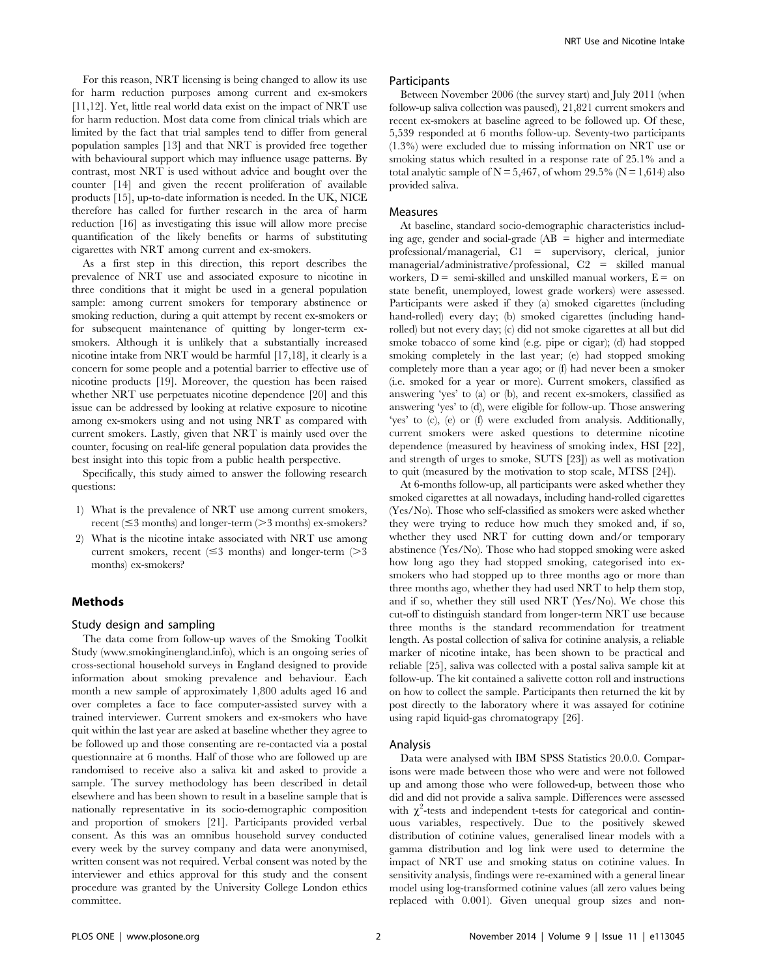For this reason, NRT licensing is being changed to allow its use for harm reduction purposes among current and ex-smokers [11,12]. Yet, little real world data exist on the impact of NRT use for harm reduction. Most data come from clinical trials which are limited by the fact that trial samples tend to differ from general population samples [13] and that NRT is provided free together with behavioural support which may influence usage patterns. By contrast, most NRT is used without advice and bought over the counter [14] and given the recent proliferation of available products [15], up-to-date information is needed. In the UK, NICE therefore has called for further research in the area of harm reduction [16] as investigating this issue will allow more precise quantification of the likely benefits or harms of substituting cigarettes with NRT among current and ex-smokers.

As a first step in this direction, this report describes the prevalence of NRT use and associated exposure to nicotine in three conditions that it might be used in a general population sample: among current smokers for temporary abstinence or smoking reduction, during a quit attempt by recent ex-smokers or for subsequent maintenance of quitting by longer-term exsmokers. Although it is unlikely that a substantially increased nicotine intake from NRT would be harmful [17,18], it clearly is a concern for some people and a potential barrier to effective use of nicotine products [19]. Moreover, the question has been raised whether NRT use perpetuates nicotine dependence [20] and this issue can be addressed by looking at relative exposure to nicotine among ex-smokers using and not using NRT as compared with current smokers. Lastly, given that NRT is mainly used over the counter, focusing on real-life general population data provides the best insight into this topic from a public health perspective.

Specifically, this study aimed to answer the following research questions:

- 1) What is the prevalence of NRT use among current smokers, recent ( $\leq$ 3 months) and longer-term ( $>$ 3 months) ex-smokers?
- 2) What is the nicotine intake associated with NRT use among current smokers, recent  $(\leq 3$  months) and longer-term ( $> 3$ months) ex-smokers?

#### Methods

## Study design and sampling

The data come from follow-up waves of the Smoking Toolkit Study ([www.smokinginengland.info\)](www.smokinginengland.info), which is an ongoing series of cross-sectional household surveys in England designed to provide information about smoking prevalence and behaviour. Each month a new sample of approximately 1,800 adults aged 16 and over completes a face to face computer-assisted survey with a trained interviewer. Current smokers and ex-smokers who have quit within the last year are asked at baseline whether they agree to be followed up and those consenting are re-contacted via a postal questionnaire at 6 months. Half of those who are followed up are randomised to receive also a saliva kit and asked to provide a sample. The survey methodology has been described in detail elsewhere and has been shown to result in a baseline sample that is nationally representative in its socio-demographic composition and proportion of smokers [21]. Participants provided verbal consent. As this was an omnibus household survey conducted every week by the survey company and data were anonymised, written consent was not required. Verbal consent was noted by the interviewer and ethics approval for this study and the consent procedure was granted by the University College London ethics committee.

#### Participants

Between November 2006 (the survey start) and July 2011 (when follow-up saliva collection was paused), 21,821 current smokers and recent ex-smokers at baseline agreed to be followed up. Of these, 5,539 responded at 6 months follow-up. Seventy-two participants (1.3%) were excluded due to missing information on NRT use or smoking status which resulted in a response rate of 25.1% and a total analytic sample of  $N = 5,467$ , of whom 29.5% ( $N = 1,614$ ) also provided saliva.

#### Measures

At baseline, standard socio-demographic characteristics including age, gender and social-grade (AB = higher and intermediate professional/managerial, C1 = supervisory, clerical, junior managerial/administrative/professional, C2 = skilled manual workers,  $D =$  semi-skilled and unskilled manual workers,  $E =$  on state benefit, unemployed, lowest grade workers) were assessed. Participants were asked if they (a) smoked cigarettes (including hand-rolled) every day; (b) smoked cigarettes (including handrolled) but not every day; (c) did not smoke cigarettes at all but did smoke tobacco of some kind (e.g. pipe or cigar); (d) had stopped smoking completely in the last year; (e) had stopped smoking completely more than a year ago; or (f) had never been a smoker (i.e. smoked for a year or more). Current smokers, classified as answering 'yes' to (a) or (b), and recent ex-smokers, classified as answering 'yes' to (d), were eligible for follow-up. Those answering 'yes' to (c), (e) or (f) were excluded from analysis. Additionally, current smokers were asked questions to determine nicotine dependence (measured by heaviness of smoking index, HSI [22], and strength of urges to smoke, SUTS [23]) as well as motivation to quit (measured by the motivation to stop scale, MTSS [24]).

At 6-months follow-up, all participants were asked whether they smoked cigarettes at all nowadays, including hand-rolled cigarettes (Yes/No). Those who self-classified as smokers were asked whether they were trying to reduce how much they smoked and, if so, whether they used NRT for cutting down and/or temporary abstinence (Yes/No). Those who had stopped smoking were asked how long ago they had stopped smoking, categorised into exsmokers who had stopped up to three months ago or more than three months ago, whether they had used NRT to help them stop, and if so, whether they still used NRT (Yes/No). We chose this cut-off to distinguish standard from longer-term NRT use because three months is the standard recommendation for treatment length. As postal collection of saliva for cotinine analysis, a reliable marker of nicotine intake, has been shown to be practical and reliable [25], saliva was collected with a postal saliva sample kit at follow-up. The kit contained a salivette cotton roll and instructions on how to collect the sample. Participants then returned the kit by post directly to the laboratory where it was assayed for cotinine using rapid liquid-gas chromatograpy [26].

#### Analysis

Data were analysed with IBM SPSS Statistics 20.0.0. Comparisons were made between those who were and were not followed up and among those who were followed-up, between those who did and did not provide a saliva sample. Differences were assessed with  $\chi^2$ -tests and independent t-tests for categorical and continuous variables, respectively. Due to the positively skewed distribution of cotinine values, generalised linear models with a gamma distribution and log link were used to determine the impact of NRT use and smoking status on cotinine values. In sensitivity analysis, findings were re-examined with a general linear model using log-transformed cotinine values (all zero values being replaced with 0.001). Given unequal group sizes and non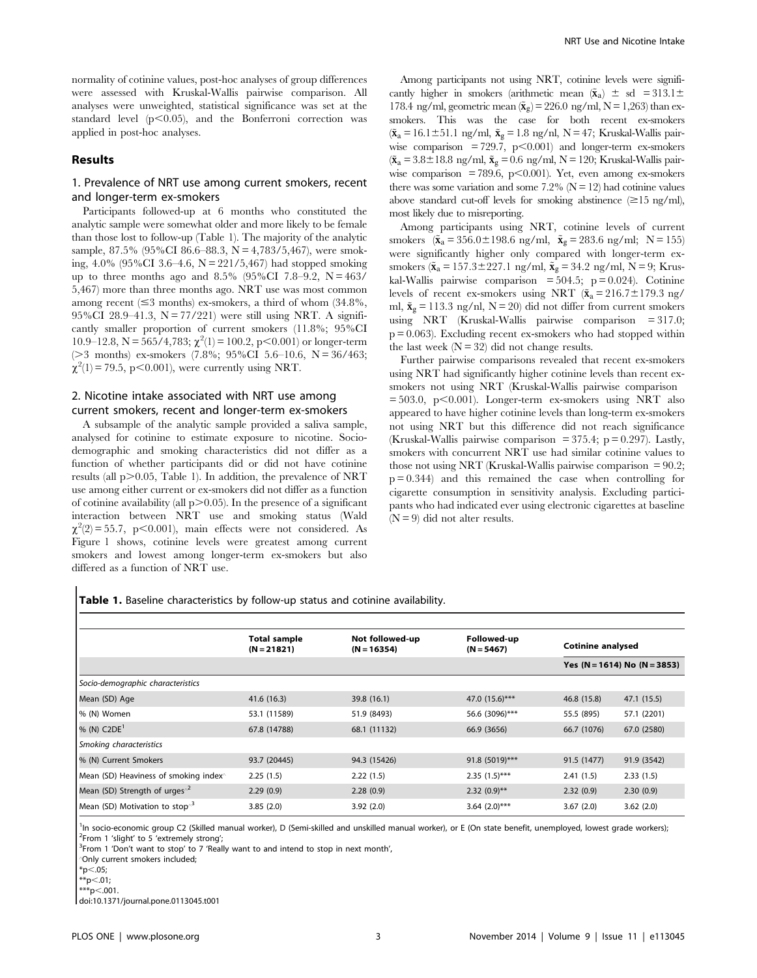normality of cotinine values, post-hoc analyses of group differences were assessed with Kruskal-Wallis pairwise comparison. All analyses were unweighted, statistical significance was set at the standard level  $(p<0.05)$ , and the Bonferroni correction was applied in post-hoc analyses.

## Results

## 1. Prevalence of NRT use among current smokers, recent and longer-term ex-smokers

Participants followed-up at 6 months who constituted the analytic sample were somewhat older and more likely to be female than those lost to follow-up (Table 1). The majority of the analytic sample, 87.5% (95%CI 86.6–88.3, N = 4,783/5,467), were smoking, 4.0% (95%CI 3.6–4.6, N = 221/5,467) had stopped smoking up to three months ago and  $8.5\%$  (95%CI 7.8–9.2, N = 463/ 5,467) more than three months ago. NRT use was most common among recent  $(\leq 3$  months) ex-smokers, a third of whom  $(34.8\%),$ 95%CI 28.9–41.3,  $N = 77/221$  were still using NRT. A significantly smaller proportion of current smokers (11.8%; 95%CI  $10.9-12.8$ , N = 565/4,783;  $\chi^2(1) = 100.2$ , p<0.001) or longer-term ( $>3$  months) ex-smokers (7.8%; 95%CI 5.6–10.6, N = 36/463;  $\chi^2(1) = 79.5$ , p<0.001), were currently using NRT.

## 2. Nicotine intake associated with NRT use among current smokers, recent and longer-term ex-smokers

A subsample of the analytic sample provided a saliva sample, analysed for cotinine to estimate exposure to nicotine. Sociodemographic and smoking characteristics did not differ as a function of whether participants did or did not have cotinine results (all  $p > 0.05$ , Table 1). In addition, the prevalence of NRT use among either current or ex-smokers did not differ as a function of cotinine availability (all  $p > 0.05$ ). In the presence of a significant interaction between NRT use and smoking status (Wald  $\chi^2(2) = 55.7$ , p<0.001), main effects were not considered. As Figure 1 shows, cotinine levels were greatest among current smokers and lowest among longer-term ex-smokers but also differed as a function of NRT use.

Among participants not using NRT, cotinine levels were significantly higher in smokers (arithmetic mean  $({\tilde{\mathbf{x}}_a}) \pm \text{sd} = 313.1 \pm$ 178.4 ng/ml, geometric mean  $({\tilde{\mathbf{x}}_g}) = 226.0 \text{ ng/ml}, N = 1,263$  than exsmokers. This was the case for both recent ex-smokers  $({\tilde{\mathbf{x}}_a} = 16.1 \pm 51.1$  ng/ml,  ${\tilde{\mathbf{x}}_g} = 1.8$  ng/nl, N = 47; Kruskal-Wallis pairwise comparison = 729.7,  $p<0.001$  and longer-term ex-smokers  $({\tilde{\mathbf{x}}_a} = 3.8 \pm 18.8 \text{ ng/ml}, {\tilde{\mathbf{x}}_g} = 0.6 \text{ ng/ml}, N = 120; Kruskal-Wallis pair$ wise comparison = 789.6, p $\leq$ 0.001). Yet, even among ex-smokers there was some variation and some  $7.2\%$  (N = 12) had cotinine values above standard cut-off levels for smoking abstinence  $(\geq 15 \text{ ng/ml})$ , most likely due to misreporting.

Among participants using NRT, cotinine levels of current smokers  $({\tilde{\mathbf{x}}_a} = 356.0 \pm 198.6 \text{ ng/ml}, {\tilde{\mathbf{x}}_g} = 283.6 \text{ ng/ml}; \text{ N} = 155)$ were significantly higher only compared with longer-term exsmokers ( $\tilde{x}_a = 157.3 \pm 227.1$  ng/ml,  $\tilde{x}_g = 34.2$  ng/ml, N = 9; Kruskal-Wallis pairwise comparison =  $504.5$ ; p = 0.024). Cotinine levels of recent ex-smokers using NRT ( $\tilde{\mathbf{x}}_a = 216.7 \pm 179.3$  ng/ ml,  $\tilde{\mathbf{x}}_{g} = 113.3$  ng/nl, N = 20) did not differ from current smokers using NRT (Kruskal-Wallis pairwise comparison = 317.0;  $p = 0.063$ ). Excluding recent ex-smokers who had stopped within the last week  $(N = 32)$  did not change results.

Further pairwise comparisons revealed that recent ex-smokers using NRT had significantly higher cotinine levels than recent exsmokers not using NRT (Kruskal-Wallis pairwise comparison  $= 503.0$ , p $< 0.001$ ). Longer-term ex-smokers using NRT also appeared to have higher cotinine levels than long-term ex-smokers not using NRT but this difference did not reach significance (Kruskal-Wallis pairwise comparison = 375.4;  $p = 0.297$ ). Lastly, smokers with concurrent NRT use had similar cotinine values to those not using NRT (Kruskal-Wallis pairwise comparison  $= 90.2$ ;  $p = 0.344$ ) and this remained the case when controlling for cigarette consumption in sensitivity analysis. Excluding participants who had indicated ever using electronic cigarettes at baseline  $(N = 9)$  did not alter results.

Table 1. Baseline characteristics by follow-up status and cotinine availability.

|                                                   | <b>Total sample</b><br>$(N = 21821)$ | Not followed-up<br>$(N = 16354)$ | Followed-up<br>$(N = 5467)$ | <b>Cotinine analysed</b> |                              |
|---------------------------------------------------|--------------------------------------|----------------------------------|-----------------------------|--------------------------|------------------------------|
|                                                   |                                      |                                  |                             |                          | Yes (N = 1614) No (N = 3853) |
| Socio-demographic characteristics                 |                                      |                                  |                             |                          |                              |
| Mean (SD) Age                                     | 41.6 (16.3)                          | 39.8 (16.1)                      | 47.0 (15.6)***              | 46.8 (15.8)              | 47.1 (15.5)                  |
| % (N) Women                                       | 53.1 (11589)                         | 51.9 (8493)                      | 56.6 (3096)***              | 55.5 (895)               | 57.1 (2201)                  |
| % (N) $C2DE1$                                     | 67.8 (14788)                         | 68.1 (11132)                     | 66.9 (3656)                 | 66.7 (1076)              | 67.0 (2580)                  |
| Smoking characteristics                           |                                      |                                  |                             |                          |                              |
| % (N) Current Smokers                             | 93.7 (20445)                         | 94.3 (15426)                     | $91.8(5019)$ ***            | 91.5 (1477)              | 91.9 (3542)                  |
| Mean (SD) Heaviness of smoking index <sup>^</sup> | 2.25(1.5)                            | 2.22(1.5)                        | $2.35(1.5)***$              | 2.41(1.5)                | 2.33(1.5)                    |
| Mean (SD) Strength of urges $^2$                  | 2.29(0.9)                            | 2.28(0.9)                        | $2.32(0.9)$ **              | 2.32(0.9)                | 2.30(0.9)                    |
| Mean (SD) Motivation to stop <sup>3</sup>         | 3.85(2.0)                            | 3.92(2.0)                        | $3.64$ (2.0)***             | 3.67(2.0)                | 3.62(2.0)                    |

<sup>1</sup>In socio-economic group C2 (Skilled manual worker), D (Semi-skilled and unskilled manual worker), or E (On state benefit, unemployed, lowest grade workers);<br><sup>2</sup>Erom 1 'clight' to 5 'extremely strong':  $2$ From 1 'slight' to 5 'extremely strong';

<sup>3</sup>From 1 'Don't want to stop' to 7 'Really want to and intend to stop in next month',

'Only current smokers included;

 $*p<.05;$ 

$$
^{**}p<.01;
$$

 $^{***}$ p $<$ .001.

doi:10.1371/journal.pone.0113045.t001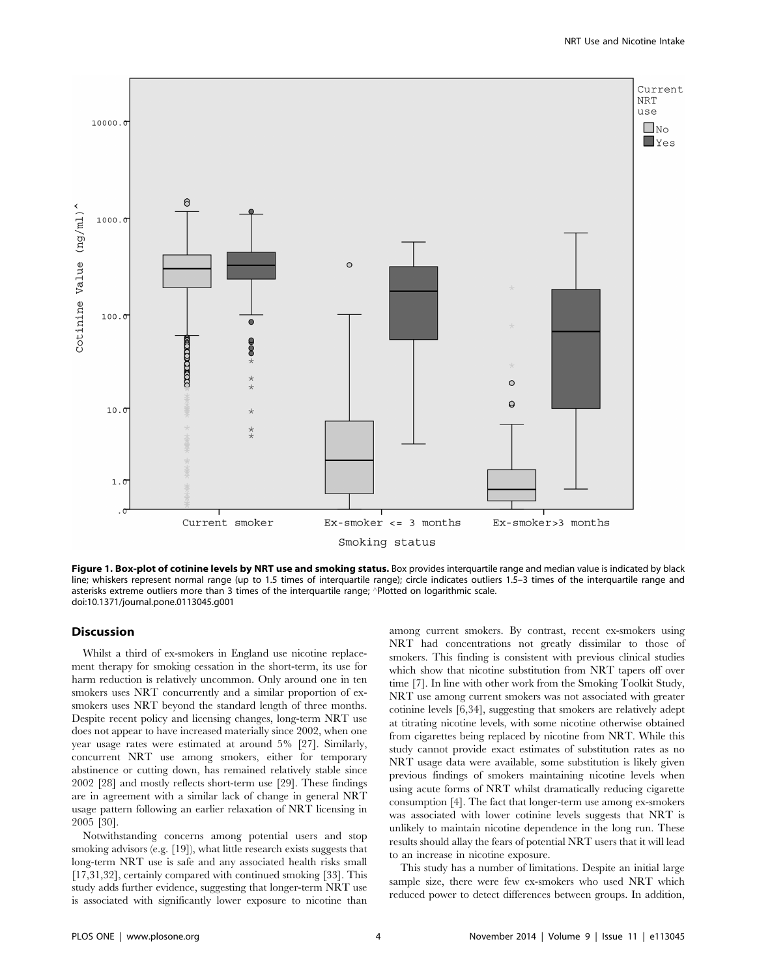

Figure 1. Box-plot of cotinine levels by NRT use and smoking status. Box provides interquartile range and median value is indicated by black line; whiskers represent normal range (up to 1.5 times of interquartile range); circle indicates outliers 1.5–3 times of the interquartile range and asterisks extreme outliers more than 3 times of the interquartile range; 'Plotted on logarithmic scale. doi:10.1371/journal.pone.0113045.g001

### **Discussion**

Whilst a third of ex-smokers in England use nicotine replacement therapy for smoking cessation in the short-term, its use for harm reduction is relatively uncommon. Only around one in ten smokers uses NRT concurrently and a similar proportion of exsmokers uses NRT beyond the standard length of three months. Despite recent policy and licensing changes, long-term NRT use does not appear to have increased materially since 2002, when one year usage rates were estimated at around 5% [27]. Similarly, concurrent NRT use among smokers, either for temporary abstinence or cutting down, has remained relatively stable since 2002 [28] and mostly reflects short-term use [29]. These findings are in agreement with a similar lack of change in general NRT usage pattern following an earlier relaxation of NRT licensing in 2005 [30].

Notwithstanding concerns among potential users and stop smoking advisors (e.g. [19]), what little research exists suggests that long-term NRT use is safe and any associated health risks small [17,31,32], certainly compared with continued smoking [33]. This study adds further evidence, suggesting that longer-term NRT use is associated with significantly lower exposure to nicotine than among current smokers. By contrast, recent ex-smokers using NRT had concentrations not greatly dissimilar to those of smokers. This finding is consistent with previous clinical studies which show that nicotine substitution from NRT tapers off over time [7]. In line with other work from the Smoking Toolkit Study, NRT use among current smokers was not associated with greater cotinine levels [6,34], suggesting that smokers are relatively adept at titrating nicotine levels, with some nicotine otherwise obtained from cigarettes being replaced by nicotine from NRT. While this study cannot provide exact estimates of substitution rates as no NRT usage data were available, some substitution is likely given previous findings of smokers maintaining nicotine levels when using acute forms of NRT whilst dramatically reducing cigarette consumption [4]. The fact that longer-term use among ex-smokers was associated with lower cotinine levels suggests that NRT is unlikely to maintain nicotine dependence in the long run. These results should allay the fears of potential NRT users that it will lead to an increase in nicotine exposure.

This study has a number of limitations. Despite an initial large sample size, there were few ex-smokers who used NRT which reduced power to detect differences between groups. In addition,